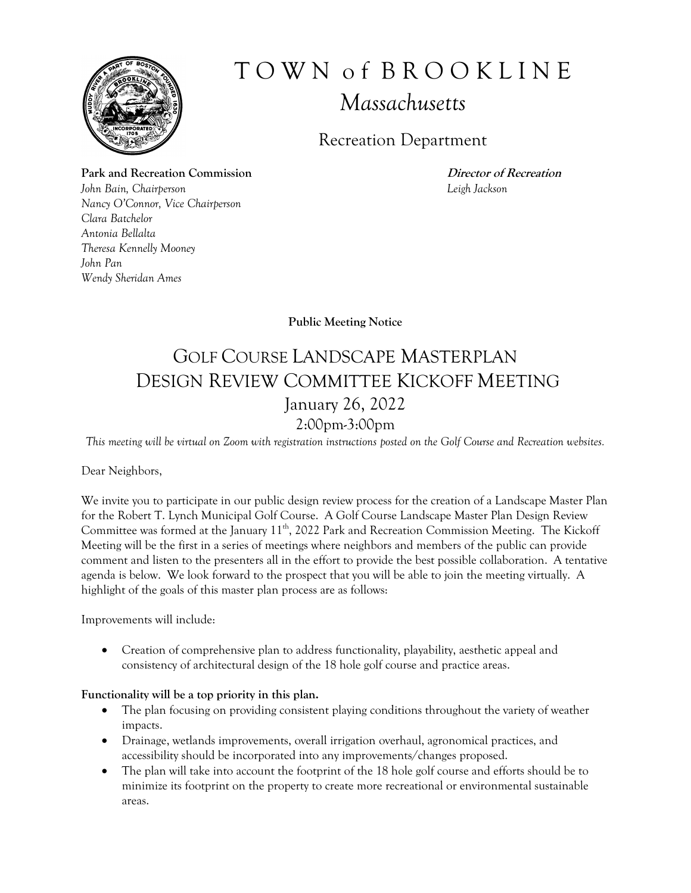

# T O W N o f B R O O K L I N E *Massachusetts*

### Recreation Department

Park and Recreation Commission *Director of Recreation John Bain, Chairperson Leigh Jackson Nancy O'Connor, Vice Chairperson Clara Batchelor Antonia Bellalta Theresa Kennelly Mooney John Pan Wendy Sheridan Ames*

**Public Meeting Notice**

## GOLF COURSE LANDSCAPE MASTERPLAN DESIGN REVIEW COMMITTEE KICKOFF MEETING January 26, 2022 2:00pm-3:00pm

*This meeting will be virtual on Zoom with registration instructions posted on the Golf Course and Recreation websites.*

Dear Neighbors,

We invite you to participate in our public design review process for the creation of a Landscape Master Plan for the Robert T. Lynch Municipal Golf Course. A Golf Course Landscape Master Plan Design Review Committee was formed at the January 11<sup>th</sup>, 2022 Park and Recreation Commission Meeting. The Kickoff Meeting will be the first in a series of meetings where neighbors and members of the public can provide comment and listen to the presenters all in the effort to provide the best possible collaboration. A tentative agenda is below. We look forward to the prospect that you will be able to join the meeting virtually. A highlight of the goals of this master plan process are as follows:

Improvements will include:

 Creation of comprehensive plan to address functionality, playability, aesthetic appeal and consistency of architectural design of the 18 hole golf course and practice areas.

### **Functionality will be a top priority in this plan.**

- The plan focusing on providing consistent playing conditions throughout the variety of weather impacts.
- Drainage, wetlands improvements, overall irrigation overhaul, agronomical practices, and accessibility should be incorporated into any improvements/changes proposed.
- The plan will take into account the footprint of the 18 hole golf course and efforts should be to minimize its footprint on the property to create more recreational or environmental sustainable areas.